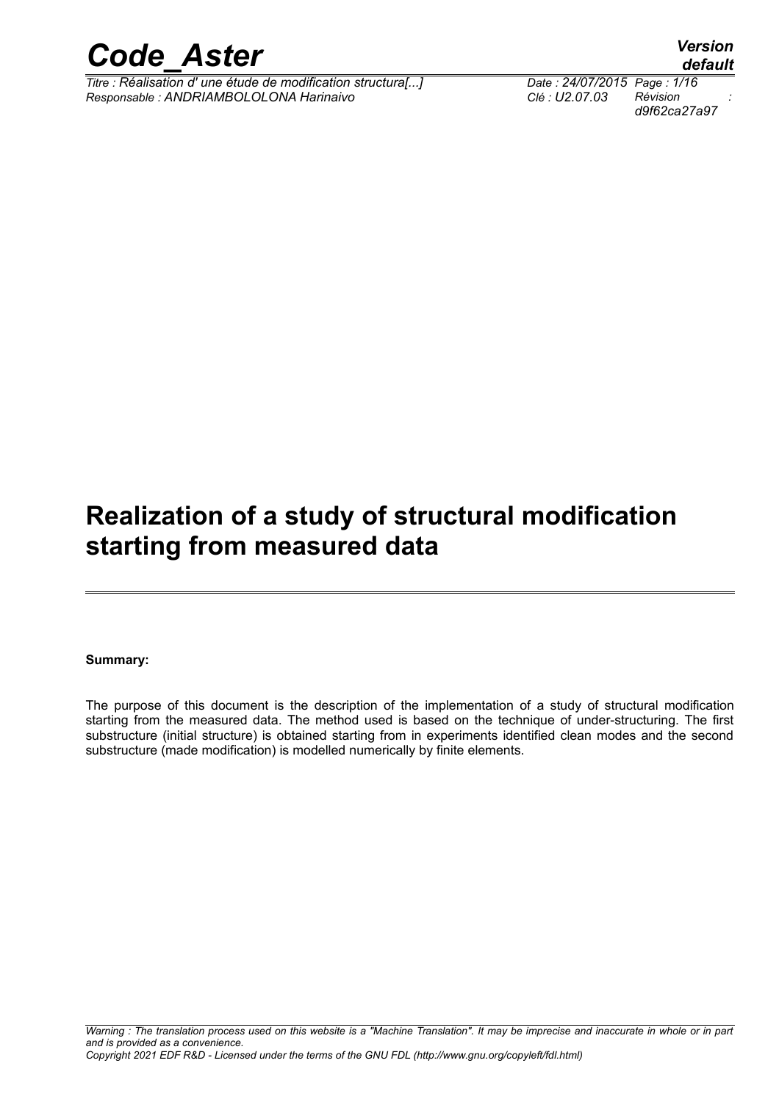

*Titre : Réalisation d' une étude de modification structura[...] Date : 24/07/2015 Page : 1/16 Responsable : ANDRIAMBOLOLONA Harinaivo Clé : U2.07.03 Révision :*

*d9f62ca27a97*

## **Realization of a study of structural modification starting from measured data**

#### **Summary:**

The purpose of this document is the description of the implementation of a study of structural modification starting from the measured data. The method used is based on the technique of under-structuring. The first substructure (initial structure) is obtained starting from in experiments identified clean modes and the second substructure (made modification) is modelled numerically by finite elements.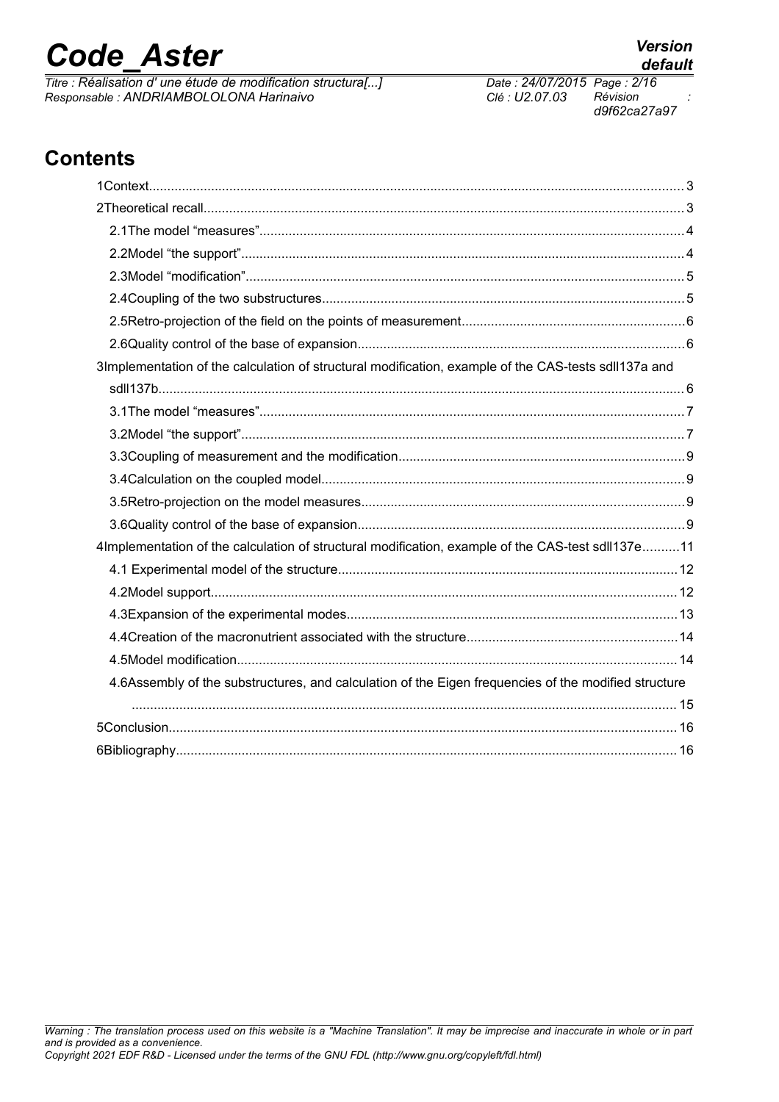*Titre : Réalisation d' une étude de modification structura[...] Date : 24/07/2015 Page : 2/16*<br> *Responsable : ANDRIAMBOLOLONA Harinaivo Clé : U2.07.03 Révision Responsable : ANDRIAMBOLOLONA Harinaivo Clé : U2.07.03 Révision :*

*d9f62ca27a97*

## **Contents**

| 3Implementation of the calculation of structural modification, example of the CAS-tests sdll137a and |  |
|------------------------------------------------------------------------------------------------------|--|
|                                                                                                      |  |
|                                                                                                      |  |
|                                                                                                      |  |
|                                                                                                      |  |
|                                                                                                      |  |
|                                                                                                      |  |
|                                                                                                      |  |
| 4Implementation of the calculation of structural modification, example of the CAS-test sdll137e11    |  |
|                                                                                                      |  |
|                                                                                                      |  |
|                                                                                                      |  |
|                                                                                                      |  |
|                                                                                                      |  |
| 4.6Assembly of the substructures, and calculation of the Eigen frequencies of the modified structure |  |
|                                                                                                      |  |
|                                                                                                      |  |
|                                                                                                      |  |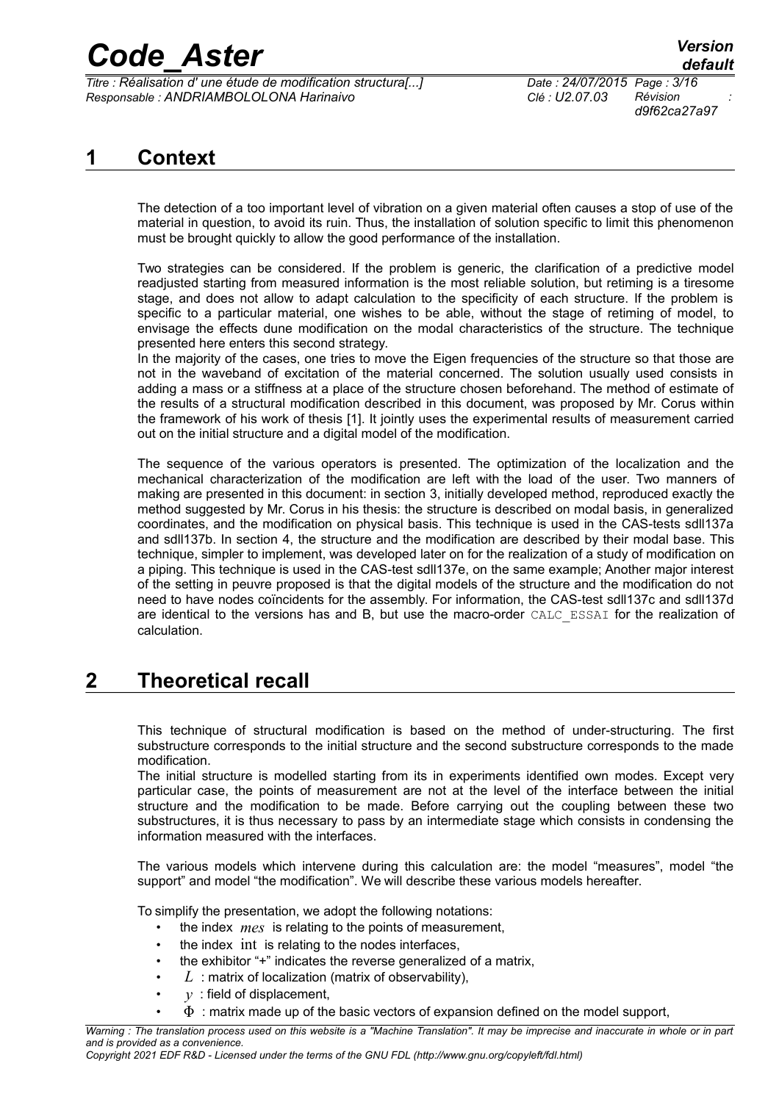*Titre : Réalisation d' une étude de modification structura[...] Date : 24/07/2015 Page : 3/16 Responsable : ANDRIAMBOLOLONA Harinaivo Clé : U2.07.03 Révision :*

*d9f62ca27a97*

### **1 Context**

The detection of a too important level of vibration on a given material often causes a stop of use of the material in question, to avoid its ruin. Thus, the installation of solution specific to limit this phenomenon must be brought quickly to allow the good performance of the installation.

Two strategies can be considered. If the problem is generic, the clarification of a predictive model readjusted starting from measured information is the most reliable solution, but retiming is a tiresome stage, and does not allow to adapt calculation to the specificity of each structure. If the problem is specific to a particular material, one wishes to be able, without the stage of retiming of model, to envisage the effects dune modification on the modal characteristics of the structure. The technique presented here enters this second strategy.

In the majority of the cases, one tries to move the Eigen frequencies of the structure so that those are not in the waveband of excitation of the material concerned. The solution usually used consists in adding a mass or a stiffness at a place of the structure chosen beforehand. The method of estimate of the results of a structural modification described in this document, was proposed by Mr. Corus within the framework of his work of thesis [1]. It jointly uses the experimental results of measurement carried out on the initial structure and a digital model of the modification.

The sequence of the various operators is presented. The optimization of the localization and the mechanical characterization of the modification are left with the load of the user. Two manners of making are presented in this document: in section [3,](#page-5-0) initially developed method, reproduced exactly the method suggested by Mr. Corus in his thesis: the structure is described on modal basis, in generalized coordinates, and the modification on physical basis. This technique is used in the CAS-tests sdll137a and sdll137b. In section [4,](#page-10-0) the structure and the modification are described by their modal base. This technique, simpler to implement, was developed later on for the realization of a study of modification on a piping. This technique is used in the CAS-test sdll137e, on the same example; Another major interest of the setting in peuvre proposed is that the digital models of the structure and the modification do not need to have nodes coïncidents for the assembly. For information, the CAS-test sdll137c and sdll137d are identical to the versions has and B, but use the macro-order CALC\_ESSAI for the realization of calculation.

### <span id="page-2-0"></span>**2 Theoretical recall**

This technique of structural modification is based on the method of under-structuring. The first substructure corresponds to the initial structure and the second substructure corresponds to the made modification.

The initial structure is modelled starting from its in experiments identified own modes. Except very particular case, the points of measurement are not at the level of the interface between the initial structure and the modification to be made. Before carrying out the coupling between these two substructures, it is thus necessary to pass by an intermediate stage which consists in condensing the information measured with the interfaces.

The various models which intervene during this calculation are: the model "measures", model "the support" and model "the modification". We will describe these various models hereafter.

To simplify the presentation, we adopt the following notations:

- the index *mes* is relating to the points of measurement,
- the index int is relating to the nodes interfaces,
- the exhibitor "+" indicates the reverse generalized of a matrix,
- *L* : matrix of localization (matrix of observability),
- $y$ : field of displacement,
	- $\Phi$ : matrix made up of the basic vectors of expansion defined on the model support,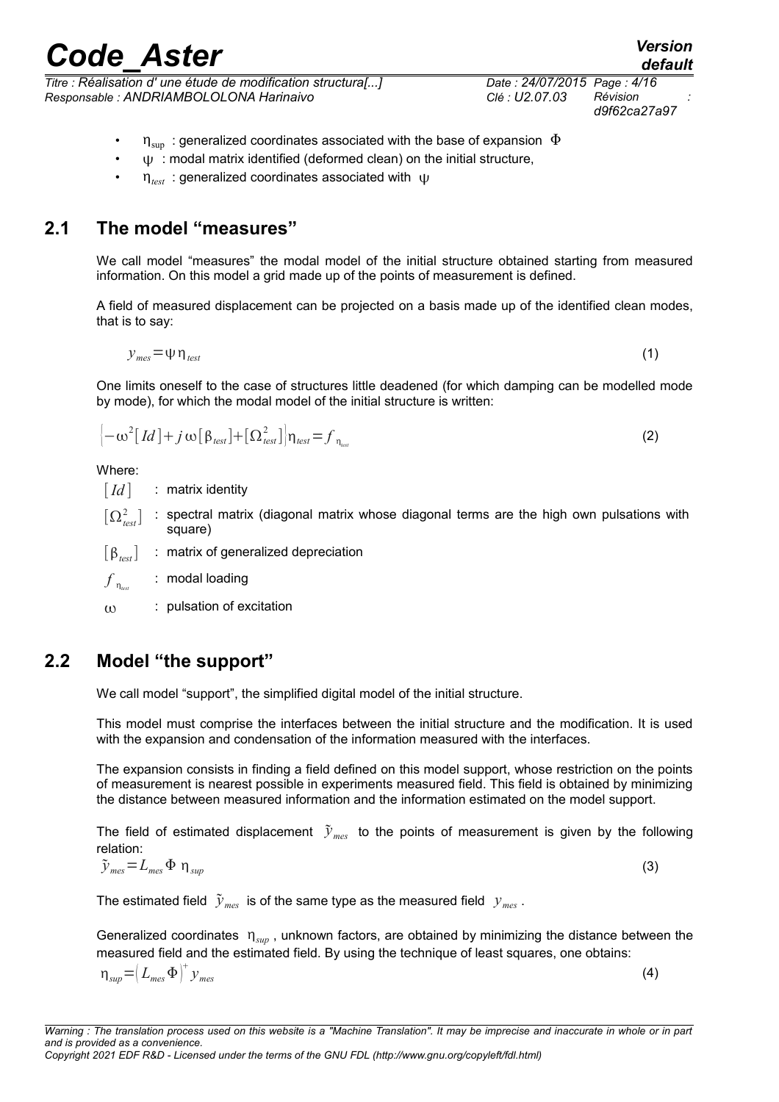*and is provided as a convenience. Copyright 2021 EDF R&D - Licensed under the terms of the GNU FDL (http://www.gnu.org/copyleft/fdl.html)*

 $\eta_{\text{test}}$ : generalized coordinates associated with  $\psi$ 

### **2.1 The model "measures"**

We call model "measures" the modal model of the initial structure obtained starting from measured information. On this model a grid made up of the points of measurement is defined.

 $\eta_{\text{sun}}$ : generalized coordinates associated with the base of expansion  $\Phi$  $\psi$ : modal matrix identified (deformed clean) on the initial structure,

A field of measured displacement can be projected on a basis made up of the identified clean modes, that is to say:

$$
y_{\text{mes}} = \psi \eta_{\text{test}} \tag{1}
$$

One limits oneself to the case of structures little deadened (for which damping can be modelled mode by mode), for which the modal model of the initial structure is written:

$$
\left(-\omega^2\left[d\right]+j\,\omega\left[\beta_{\text{test}}\right]+\left[\Omega_{\text{test}}^2\right]\right)\eta_{\text{test}}=f_{\eta_{\text{test}}}\tag{2}
$$

Where:

[*Id*] : matrix identity

 $\left[\Omega^2_{test}\right]$ : spectral matrix (diagonal matrix whose diagonal terms are the high own pulsations with square)

[ $\beta_{\text{test}}$ ] : matrix of generalized depreciation

 $f_{\eta_{\textit{test}}}$ : modal loading

 $\omega$  : pulsation of excitation

### **2.2 Model "the support"**

We call model "support", the simplified digital model of the initial structure.

This model must comprise the interfaces between the initial structure and the modification. It is used with the expansion and condensation of the information measured with the interfaces.

The expansion consists in finding a field defined on this model support, whose restriction on the points of measurement is nearest possible in experiments measured field. This field is obtained by minimizing the distance between measured information and the information estimated on the model support.

The field of estimated displacement  $\tilde{y}_{mes}$  to the points of measurement is given by the following relation:

$$
\tilde{\mathbf{y}}_{mes} = L_{mes} \, \Phi \, \eta_{sup} \tag{3}
$$

The estimated field  $\tilde{y}_{mes}$  is of the same type as the measured field  $y_{mes}$ .

Generalized coordinates  $\eta_{\text{sup}}$ , unknown factors, are obtained by minimizing the distance between the measured field and the estimated field. By using the technique of least squares, one obtains:

 $\eta_{\textit{sup}} = \left( L_{\textit{mes}} \, \Phi \right)^{\dagger} y_{\textit{mes}}$ 

*default*

(4)

*Titre : Réalisation d' une étude de modification structura[...] Date : 24/07/2015 Page : 4/16 d9f62ca27a97*

*Responsable : ANDRIAMBOLOLONA Harinaivo Clé : U2.07.03 Révision :*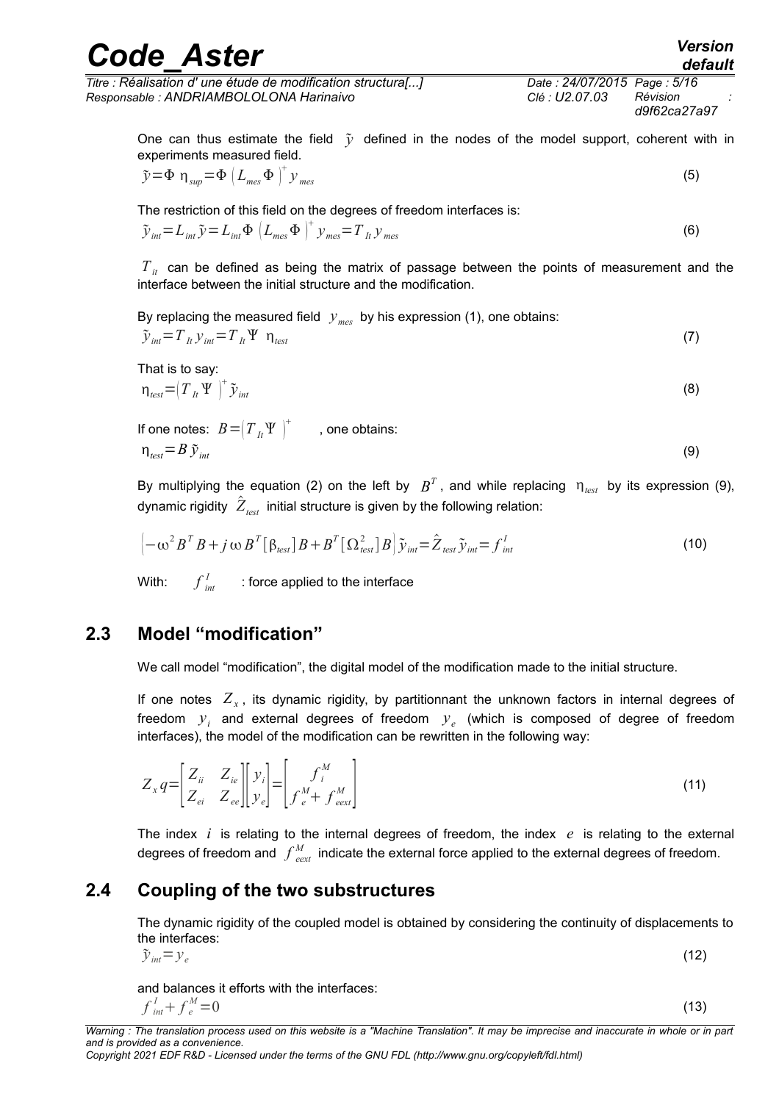| <b>Code Aster</b>                                            |                             | <b>Version</b><br>default |
|--------------------------------------------------------------|-----------------------------|---------------------------|
| Titre : Réalisation d' une étude de modification structura[] | Date: 24/07/2015 Page: 5/16 | Révision                  |
| Responsable : ANDRIAMBOLOLONA Harinaivo                      | Clé : U2.07.03              | d9f62ca27a97              |

One can thus estimate the field  $\tilde{y}$  defined in the nodes of the model support, coherent with in experiments measured field.

$$
\tilde{y} = \Phi \eta_{\text{sup}} = \Phi \left( L_{\text{mes}} \Phi \right)^{+} y_{\text{mes}} \tag{5}
$$

The restriction of this field on the degrees of freedom interfaces is:

$$
\tilde{\mathbf{y}}_{int} = L_{int} \tilde{\mathbf{y}} = L_{int} \Phi \left( L_{mes} \Phi \right)^{+} \mathbf{y}_{mes} = T_{lt} \mathbf{y}_{mes}
$$
\n(6)

 $T_{it}$  can be defined as being the matrix of passage between the points of measurement and the interface between the initial structure and the modification.

By replacing the measured field *ymes* by his expression (1), one obtains:

$$
\tilde{\mathbf{y}}_{int} = T_{lt} \mathbf{y}_{int} = T_{lt} \mathbf{Y} \quad \mathbf{\eta}_{test} \tag{7}
$$

That is to say:

$$
\eta_{\text{test}} = \left(T_{\text{lt}} \Psi\right)^{+} \tilde{\mathcal{Y}}_{\text{int}}
$$
\n(8)

If one notes:  $\overline{B} = \bigr( \overline{T}_{\overline{B}} \Psi \ \bigl)^\pm \qquad$  , one obtains:  $\eta_{\text{test}} = B \, \tilde{\gamma}_{\text{int}}$  (9)

By multiplying the equation (2) on the left by  $B^T$ , and while replacing  $n_{\textit{test}}$  by its expression (9), dynamic rigidity  $\;\hat{Z}_{\mathit{test}}\;$  initial structure is given by the following relation:

$$
\left[ -\omega^2 B^T B + j \omega B^T [\beta_{\text{test}}] B + B^T [\Omega_{\text{test}}^2] B \right] \tilde{\mathbf{y}}_{\text{int}} = \hat{Z}_{\text{test}} \tilde{\mathbf{y}}_{\text{int}} = f_{\text{int}}^I
$$
\n(10)

With: *f int*  $I_{int}$  : force applied to the interface

#### **2.3 Model "modification"**

We call model "modification", the digital model of the modification made to the initial structure.

If one notes  $Z_{x}$ , its dynamic rigidity, by partitionnant the unknown factors in internal degrees of freedom *y<sup>i</sup>* and external degrees of freedom *y<sup>e</sup>* (which is composed of degree of freedom interfaces), the model of the modification can be rewritten in the following way:

$$
Z_x q = \begin{bmatrix} Z_{ii} & Z_{ie} \\ Z_{ei} & Z_{ee} \end{bmatrix} \begin{bmatrix} y_i \\ y_e \end{bmatrix} = \begin{bmatrix} f_i^M \\ f_e^M + f_{\text{text}}^M \end{bmatrix} \tag{11}
$$

The index  $i$  is relating to the internal degrees of freedom, the index  $e$  is relating to the external degrees of freedom and  $\,\int_{\,\,e e x t}^{M}\,$ *M*<sub>ext</sub> indicate the external force applied to the external degrees of freedom.

#### **2.4 Coupling of the two substructures**

The dynamic rigidity of the coupled model is obtained by considering the continuity of displacements to the interfaces:

$$
\tilde{\mathbf{y}}_{int} = \mathbf{y}_e \tag{12}
$$

and balances it efforts with the interfaces:

$$
f_{int}^{I} + f_{e}^{M} = 0 \tag{13}
$$

*Warning : The translation process used on this website is a "Machine Translation". It may be imprecise and inaccurate in whole or in part and is provided as a convenience. Copyright 2021 EDF R&D - Licensed under the terms of the GNU FDL (http://www.gnu.org/copyleft/fdl.html)*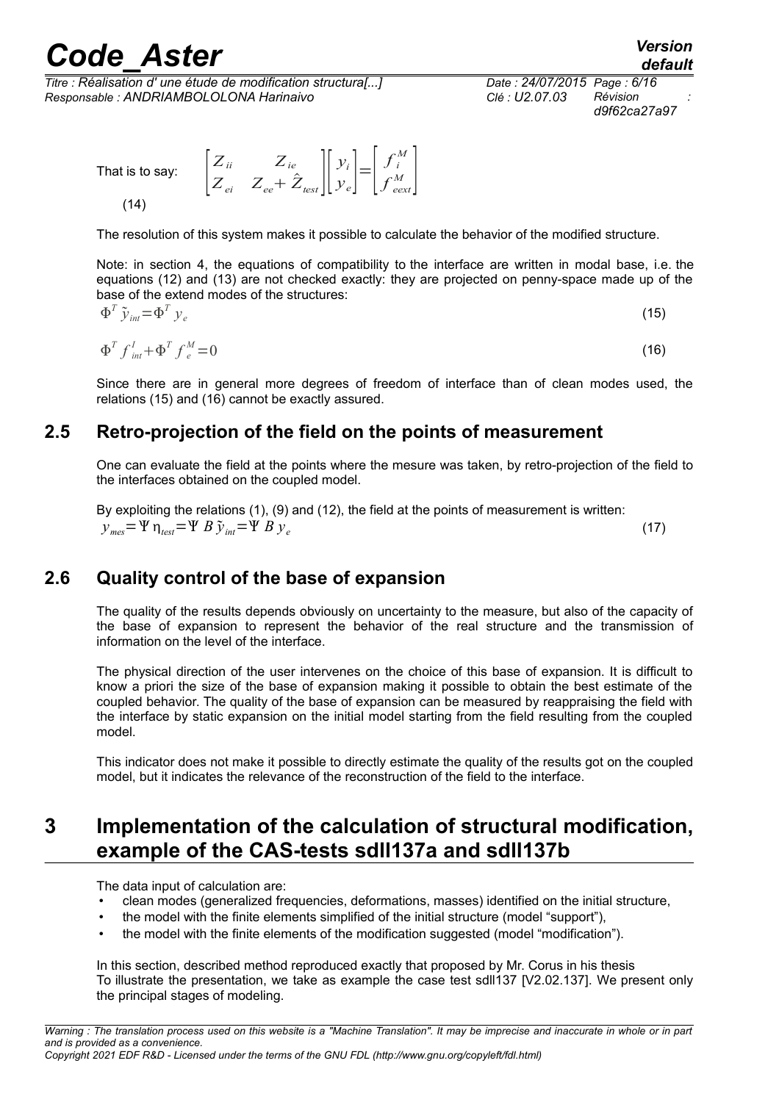*Titre : Réalisation d' une étude de modification structura[...] Date : 24/07/2015 Page : 6/16 Responsable : ANDRIAMBOLOLONA Harinaivo Clé : U2.07.03 Révision :*

*d9f62ca27a97*

That is to say: *Zii Zie*  $Z_{ei}$   $Z_{ee}$  +  $\hat{Z}_{test}$  ||  $\hat{Z}_{test}$ *yi*  $\begin{bmatrix} y_i \\ y_e \end{bmatrix} = \begin{bmatrix} y_i \\ y_i \end{bmatrix}$ *f i M*  $f_{\mathit{eext}}^{M}$  $(14)$ 

The resolution of this system makes it possible to calculate the behavior of the modified structure.

Note: in section [4,](#page-10-0) the equations of compatibility to the interface are written in modal base, i.e. the equations (12) and (13) are not checked exactly: they are projected on penny-space made up of the base of the extend modes of the structures:

$$
\Phi^T \tilde{\mathcal{Y}}_{int} = \Phi^T \mathcal{Y}_e \tag{15}
$$

$$
\Phi^T f_{int}^I + \Phi^T f_e^M = 0 \tag{16}
$$

Since there are in general more degrees of freedom of interface than of clean modes used, the relations (15) and (16) cannot be exactly assured.

#### **2.5 Retro-projection of the field on the points of measurement**

One can evaluate the field at the points where the mesure was taken, by retro-projection of the field to the interfaces obtained on the coupled model.

By exploiting the relations (1), (9) and (12), the field at the points of measurement is written:  $y_{\text{max}} = \Psi \eta_{\text{test}} = \Psi B \tilde{y}_{\text{int}} = \Psi B y_e$ (17)

### **2.6 Quality control of the base of expansion**

The quality of the results depends obviously on uncertainty to the measure, but also of the capacity of the base of expansion to represent the behavior of the real structure and the transmission of information on the level of the interface.

The physical direction of the user intervenes on the choice of this base of expansion. It is difficult to know a priori the size of the base of expansion making it possible to obtain the best estimate of the coupled behavior. The quality of the base of expansion can be measured by reappraising the field with the interface by static expansion on the initial model starting from the field resulting from the coupled model.

This indicator does not make it possible to directly estimate the quality of the results got on the coupled model, but it indicates the relevance of the reconstruction of the field to the interface.

### <span id="page-5-0"></span>**3 Implementation of the calculation of structural modification, example of the CAS-tests sdll137a and sdll137b**

The data input of calculation are:

- clean modes (generalized frequencies, deformations, masses) identified on the initial structure,
- the model with the finite elements simplified of the initial structure (model "support"),
- the model with the finite elements of the modification suggested (model "modification").

In this section, described method reproduced exactly that proposed by Mr. Corus in his thesis To illustrate the presentation, we take as example the case test sdll137 [V2.02.137]. We present only the principal stages of modeling.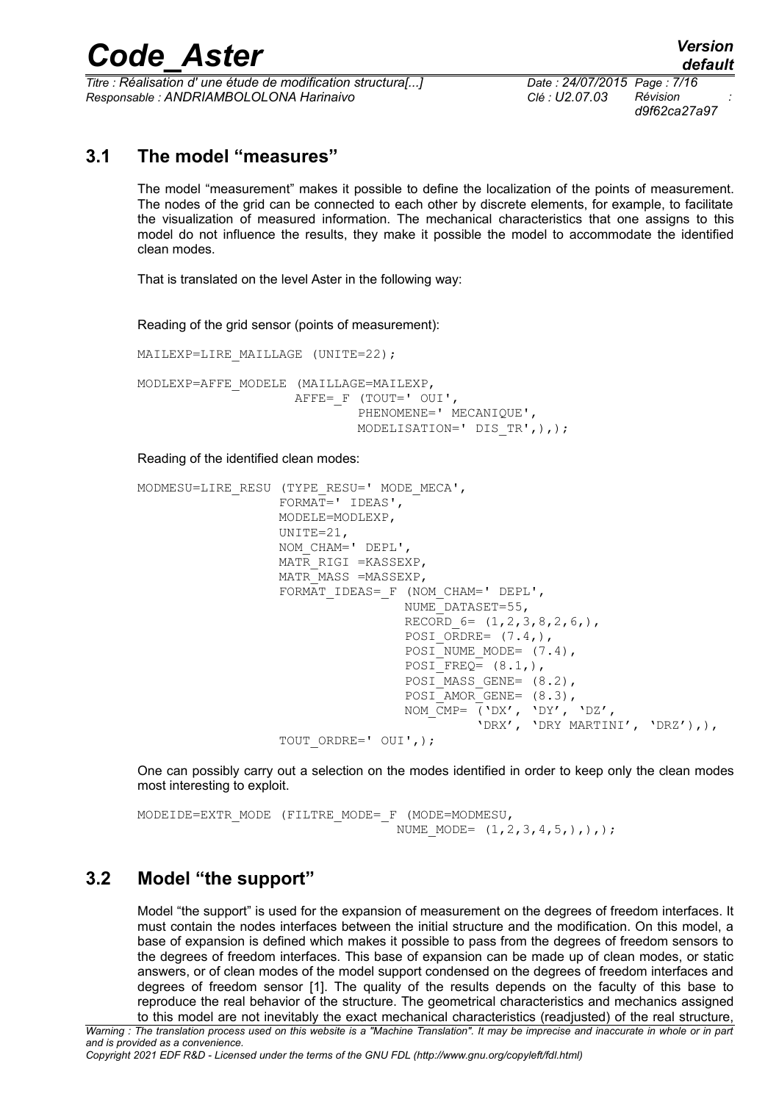*Titre : Réalisation d' une étude de modification structura[...] Date : 24/07/2015 Page : 7/16 Responsable : ANDRIAMBOLOLONA Harinaivo Clé : U2.07.03 Révision :*

*d9f62ca27a97*

#### **3.1 The model "measures"**

The model "measurement" makes it possible to define the localization of the points of measurement. The nodes of the grid can be connected to each other by discrete elements, for example, to facilitate the visualization of measured information. The mechanical characteristics that one assigns to this model do not influence the results, they make it possible the model to accommodate the identified clean modes.

That is translated on the level Aster in the following way:

Reading of the grid sensor (points of measurement):

MAILEXP=LIRE MAILLAGE (UNITE=22); MODLEXP=AFFE\_MODELE (MAILLAGE=MAILEXP, AFFE= F (TOUT=' OUI', PHENOMENE=' MECANIQUE', MODELISATION=' DIS\_TR',),);

#### Reading of the identified clean modes:

```
MODMESU=LIRE_RESU (TYPE_RESU=' MODE_MECA',
                  FORMAT=' IDEAS',
                 MODELE=MODLEXP,
                  UNITE=21,
                  NOM_CHAM=' DEPL',
                  MATR_RIGI =KASSEXP,
                  MATR_MASS =MASSEXP,
                 FORMAT_IDEAS=_F (NOM_CHAM=' DEPL',
                                NUME_DATASET=55,
                                RECORD 6 = (1,2,3,8,2,6),
                                POSI ORDRE= (7.4),
                                POSI<sup>NUME</sup> MODE= (7.4),
                                POSTFREQ = (8.1,),POSI<sup>MASS</sup> GENE= (8.2),
                                POSI<sup>AMORGENE=</sup> (8.3),
NOM\_CMP= ('DX', 'DY', 'DZ',
 'DRX', 'DRY MARTINI', 'DRZ'),),
                  TOUT_ORDRE=' OUI',);
```
One can possibly carry out a selection on the modes identified in order to keep only the clean modes most interesting to exploit.

MODEIDE=EXTR\_MODE (FILTRE\_MODE=\_F (MODE=MODMESU, NUME MODE=  $(1, 2, 3, 4, 5,),),$ 

### **3.2 Model "the support"**

Model "the support" is used for the expansion of measurement on the degrees of freedom interfaces. It must contain the nodes interfaces between the initial structure and the modification. On this model, a base of expansion is defined which makes it possible to pass from the degrees of freedom sensors to the degrees of freedom interfaces. This base of expansion can be made up of clean modes, or static answers, or of clean modes of the model support condensed on the degrees of freedom interfaces and degrees of freedom sensor [1]. The quality of the results depends on the faculty of this base to reproduce the real behavior of the structure. The geometrical characteristics and mechanics assigned to this model are not inevitably the exact mechanical characteristics (readjusted) of the real structure,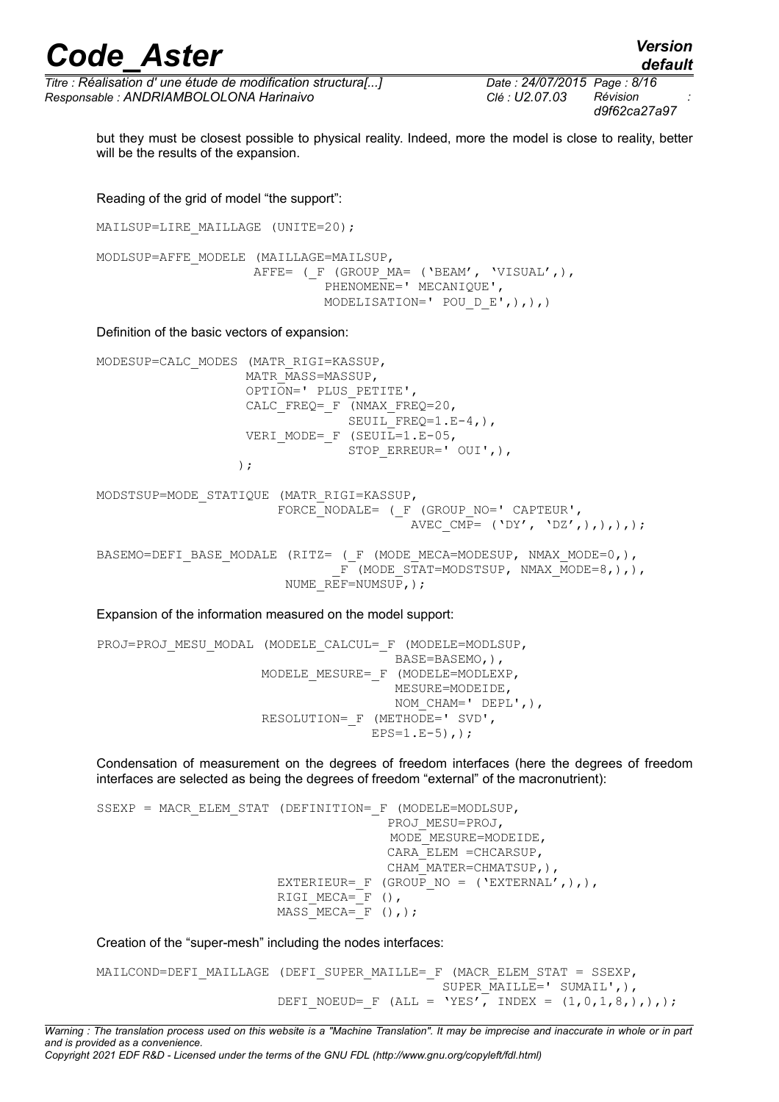*default*

*Titre : Réalisation d' une étude de modification structura[...] Date : 24/07/2015 Page : 8/16 Responsable : ANDRIAMBOLOLONA Harinaivo Clé : U2.07.03 Révision :*

but they must be closest possible to physical reality. Indeed, more the model is close to reality, better will be the results of the expansion.

Reading of the grid of model "the support":

MAILSUP=LIRE MAILLAGE (UNITE=20);

MODLSUP=AFFE\_MODELE (MAILLAGE=MAILSUP, AFFE= (F (GROUP MA= ('BEAM', 'VISUAL',), PHENOMENE=' MECANIQUE', MODELISATION=' POU D E',),),)

Definition of the basic vectors of expansion:

MODESUP=CALC\_MODES (MATR\_RIGI=KASSUP, MATR\_MASS=MASSUP, OPTION=' PLUS\_PETITE', CALC FREQ=  $F$  (NMAX FREQ=20, SEUIL FREQ= $1.E-4,$ ), VERI MODE= F (SEUIL=1.E-05, STOP\_ERREUR=' OUI',), )  $\mathbf{r}$ MODSTSUP=MODE\_STATIQUE (MATR\_RIGI=KASSUP, FORCE NODALE= ( F (GROUP NO=' CAPTEUR', AVEC CMP=  $('DY', 'DZ',),),),$ BASEMO=DEFI\_BASE\_MODALE (RITZ= (\_F (MODE\_MECA=MODESUP, NMAX\_MODE=0,),  $F$  (MODE STAT=MODSTSUP, NMAX MODE=8,),), NUME  $REF=NUMSUP$ , );

Expansion of the information measured on the model support:

PROJ=PROJ MESU MODAL (MODELE CALCUL= F (MODELE=MODLSUP, BASE=BASEMO,), MODELE\_MESURE=\_F (MODELE=MODLEXP, MESURE=MODEIDE, NOM CHAM=' DEPL',), RESOLUTION= F (METHODE=' SVD',  $EPS=1.E-5)$ , ;

Condensation of measurement on the degrees of freedom interfaces (here the degrees of freedom interfaces are selected as being the degrees of freedom "external" of the macronutrient):

SSEXP = MACR ELEM STAT (DEFINITION= F (MODELE=MODLSUP, PROJ\_MESU=PROJ, MODE\_MESURE=MODEIDE, CARA\_ELEM =CHCARSUP, CHAM\_MATER=CHMATSUP,), EXTERIEUR= F (GROUP NO = ('EXTERNAL',),),  $RIGI_MECA=\nF$  (),  $MASS$   $MECA = F$  (),);

Creation of the "super-mesh" including the nodes interfaces:

```
MAILCOND=DEFI_MAILLAGE (DEFI_SUPER_MAILLE=_F (MACR_ELEM_STAT = SSEXP,
                                            SUPER MAILLE=' SUMAIL',),
                       DEFI_NOEUD= F (ALL = 'YES', INDEX = (1,0,1,8,),),;
```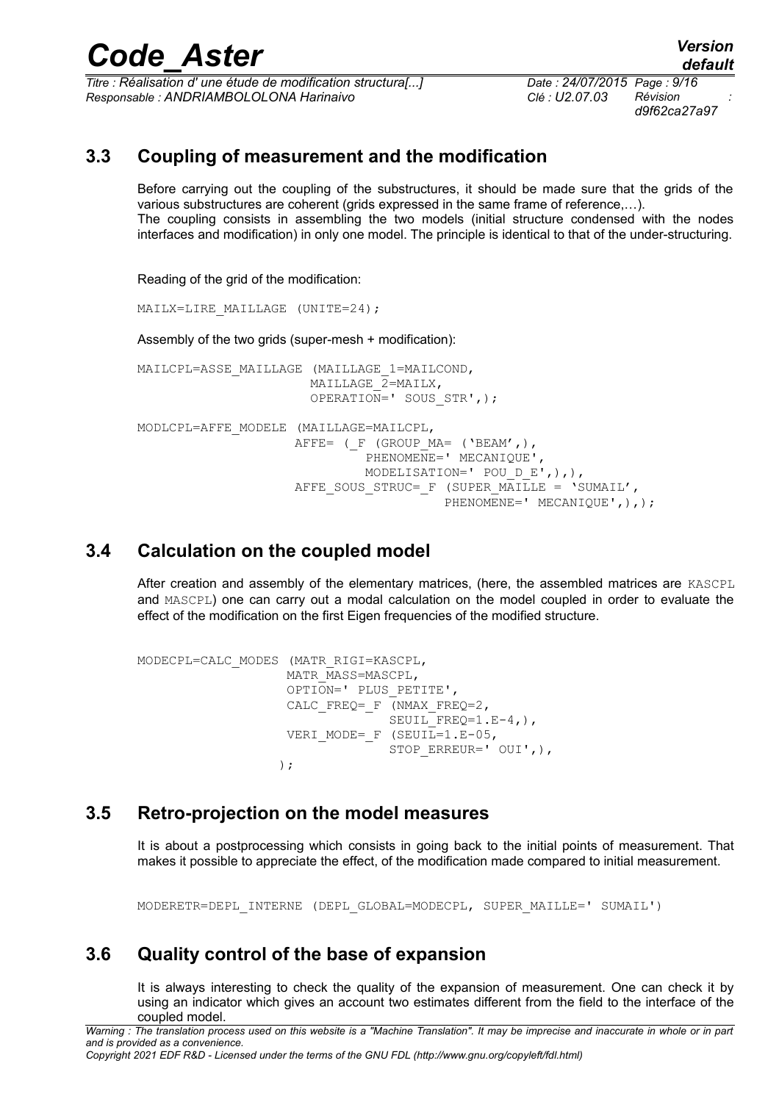*Titre : Réalisation d' une étude de modification structura[...] Date : 24/07/2015 Page : 9/16 Responsable : ANDRIAMBOLOLONA Harinaivo Clé : U2.07.03 Révision :*

*d9f62ca27a97*

### **3.3 Coupling of measurement and the modification**

Before carrying out the coupling of the substructures, it should be made sure that the grids of the various substructures are coherent (grids expressed in the same frame of reference,…). The coupling consists in assembling the two models (initial structure condensed with the nodes interfaces and modification) in only one model. The principle is identical to that of the under-structuring.

Reading of the grid of the modification:

MAILX=LIRE\_MAILLAGE (UNITE=24);

Assembly of the two grids (super-mesh + modification):

MAILCPL=ASSE\_MAILLAGE (MAILLAGE\_1=MAILCOND, MAILLAGE $\overline{2}$ =MAILX, OPERATION=' SOUS STR',); MODLCPL=AFFE\_MODELE (MAILLAGE=MAILCPL, AFFE= ( $F$  (GROUP MA= ('BEAM',), PHENOMENE=' MECANIQUE', MODELISATION=' POU D E',),), AFFE SOUS STRUC= F (SUPER MAILLE = 'SUMAIL', PHENOMENE=' MECANIQUE', ), );

#### **3.4 Calculation on the coupled model**

After creation and assembly of the elementary matrices, (here, the assembled matrices are KASCPL and MASCPL) one can carry out a modal calculation on the model coupled in order to evaluate the effect of the modification on the first Eigen frequencies of the modified structure.

```
MODECPL=CALC_MODES (MATR_RIGI=KASCPL,
                   MATR_MASS=MASCPL,
                   OPTION=' PLUS_PETITE',
                   CALC_FREQ=_F (NMAX_FREQ=2,
                               SEUIL FREQ=1.E-4,),
                  VERI MODE= F (SEUIL=1.E-05,
                               STOP_ERREUR=' OUI',),
) \mathbf{r}
```
#### **3.5 Retro-projection on the model measures**

It is about a postprocessing which consists in going back to the initial points of measurement. That makes it possible to appreciate the effect, of the modification made compared to initial measurement.

MODERETR=DEPL\_INTERNE (DEPL\_GLOBAL=MODECPL, SUPER\_MAILLE=' SUMAIL')

#### **3.6 Quality control of the base of expansion**

It is always interesting to check the quality of the expansion of measurement. One can check it by using an indicator which gives an account two estimates different from the field to the interface of the coupled model.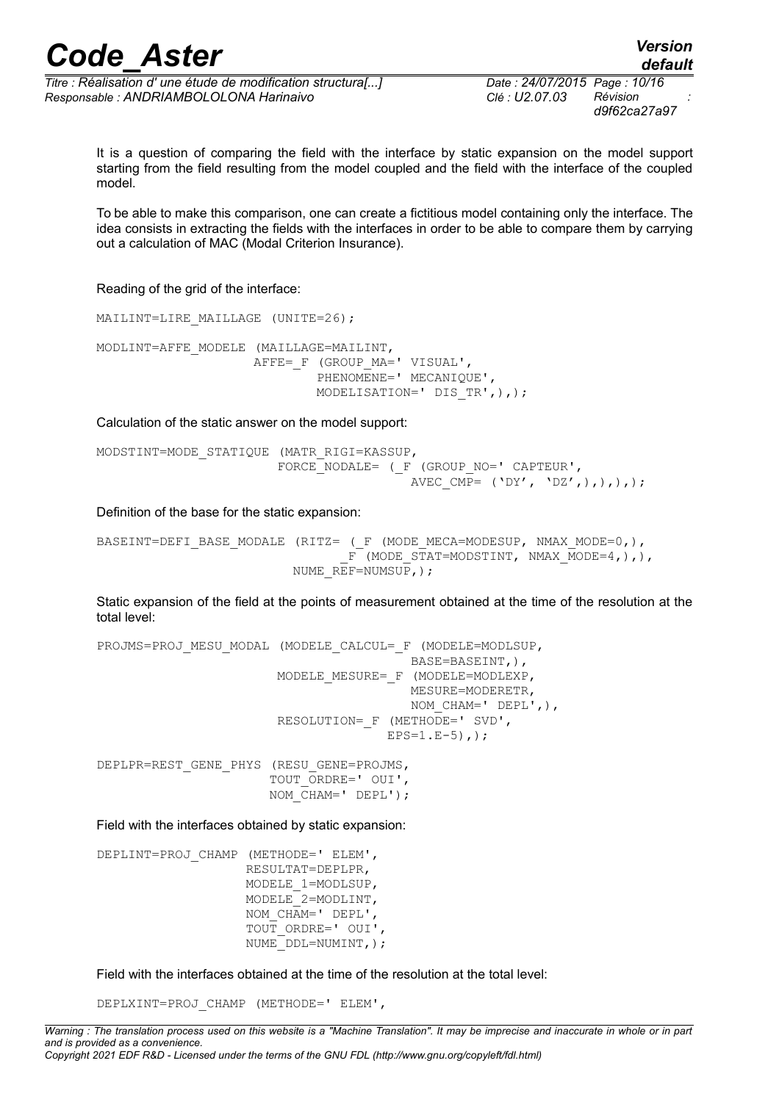*Titre : Réalisation d' une étude de modification structura[...] Date : 24/07/2015 Page : 10/16 Responsable : ANDRIAMBOLOLONA Harinaivo Clé : U2.07.03 Révision :*

*d9f62ca27a97*

It is a question of comparing the field with the interface by static expansion on the model support starting from the field resulting from the model coupled and the field with the interface of the coupled model.

To be able to make this comparison, one can create a fictitious model containing only the interface. The idea consists in extracting the fields with the interfaces in order to be able to compare them by carrying out a calculation of MAC (Modal Criterion Insurance).

Reading of the grid of the interface:

MAILINT=LIRE MAILLAGE (UNITE=26); MODLINT=AFFE\_MODELE (MAILLAGE=MAILINT, AFFE= F (GROUP MA=' VISUAL', PHENOMENE=' MECANIQUE', MODELISATION=' DIS\_TR',),);

Calculation of the static answer on the model support:

MODSTINT=MODE\_STATIQUE (MATR\_RIGI=KASSUP, FORCE NODALE= ( F (GROUP NO=' CAPTEUR', AVEC  $\overline{CMP}$ = ('DY', 'DZ',),),),);

Definition of the base for the static expansion:

```
BASEINT=DEFI_BASE_MODALE (RITZ= ( F (MODE MECA=MODESUP, NMAX_MODE=0,),
                                F^{-}(MODE STAT=MODSTINT, NMAX MODE=4,),),
                         NUME REF=NUMSUP,);
```
Static expansion of the field at the points of measurement obtained at the time of the resolution at the total level:

PROJMS=PROJ MESU MODAL (MODELE CALCUL= F (MODELE=MODLSUP, BASE=BASEINT,), MODELE\_MESURE=\_F (MODELE=MODLEXP, MESURE=MODERETR, NOM CHAM=' DEPL',), RESOLUTION= F (METHODE=' SVD',  $EPS=1.E-5)$ ,  $\cdot$ ; DEPLPR=REST\_GENE\_PHYS (RESU\_GENE=PROJMS, TOUT\_ORDRE=' OUI', NOM  $CHAM=$ ' DEPL');

Field with the interfaces obtained by static expansion:

DEPLINT=PROJ\_CHAMP (METHODE=' ELEM', RESULTAT=DEPLPR, MODELE\_1=MODLSUP, MODELE\_2=MODLINT, NOM CHAM=' DEPL', TOUT\_ORDRE=' OUI', NUME\_DDL=NUMINT,);

Field with the interfaces obtained at the time of the resolution at the total level:

DEPLXINT=PROJ\_CHAMP (METHODE=' ELEM',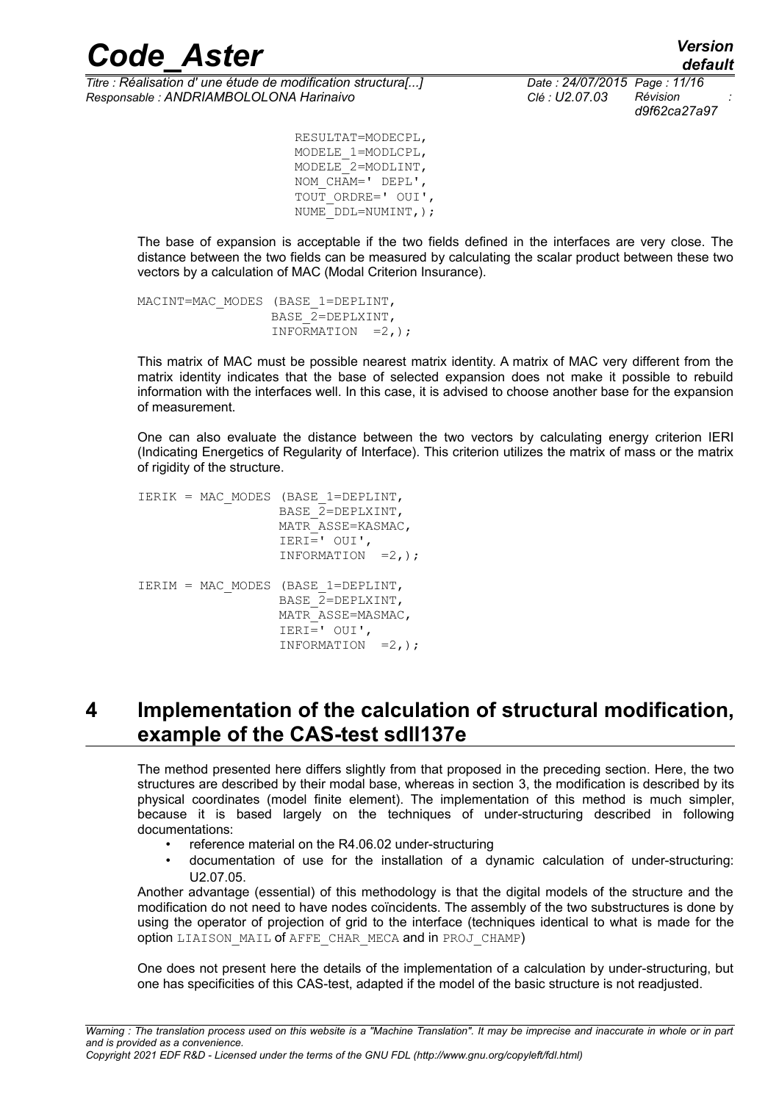*Titre : Réalisation d' une étude de modification structura[...] Date : 24/07/2015 Page : 11/16 Responsable : ANDRIAMBOLOLONA Harinaivo Clé : U2.07.03 Révision :*

*d9f62ca27a97*

 RESULTAT=MODECPL, MODELE\_1=MODLCPL, MODELE\_2=MODLINT, NOM CHAM=' DEPL', TOUT\_ORDRE=' OUI', NUME<sup>DDL=NUMINT, );</sup>

The base of expansion is acceptable if the two fields defined in the interfaces are very close. The distance between the two fields can be measured by calculating the scalar product between these two vectors by a calculation of MAC (Modal Criterion Insurance).

MACINT=MAC\_MODES (BASE\_1=DEPLINT, BASE\_2=DEPLXINT, INFORMATION  $=2$ , );

This matrix of MAC must be possible nearest matrix identity. A matrix of MAC very different from the matrix identity indicates that the base of selected expansion does not make it possible to rebuild information with the interfaces well. In this case, it is advised to choose another base for the expansion of measurement.

One can also evaluate the distance between the two vectors by calculating energy criterion IERI (Indicating Energetics of Regularity of Interface). This criterion utilizes the matrix of mass or the matrix of rigidity of the structure.

IERIK = MAC\_MODES (BASE\_1=DEPLINT, BASE  $2=DEPLXINT$ . MATR\_ASSE=KASMAC, IERI=' OUI', INFORMATION =2,); IERIM = MAC\_MODES (BASE\_1=DEPLINT, BASE\_2=DEPLXINT, MATR\_ASSE=MASMAC, IERI=' OUI', INFORMATION  $=2,$ );

### <span id="page-10-0"></span>**4 Implementation of the calculation of structural modification, example of the CAS-test sdll137e**

The method presented here differs slightly from that proposed in the preceding section. Here, the two structures are described by their modal base, whereas in section [3,](#page-5-0) the modification is described by its physical coordinates (model finite element). The implementation of this method is much simpler, because it is based largely on the techniques of under-structuring described in following documentations:

- reference material on the R4.06.02 under-structuring
- documentation of use for the installation of a dynamic calculation of under-structuring: U2.07.05.

Another advantage (essential) of this methodology is that the digital models of the structure and the modification do not need to have nodes coïncidents. The assembly of the two substructures is done by using the operator of projection of grid to the interface (techniques identical to what is made for the option LIAISON MAIL of AFFE CHAR MECA and in PROJ CHAMP)

One does not present here the details of the implementation of a calculation by under-structuring, but one has specificities of this CAS-test, adapted if the model of the basic structure is not readjusted.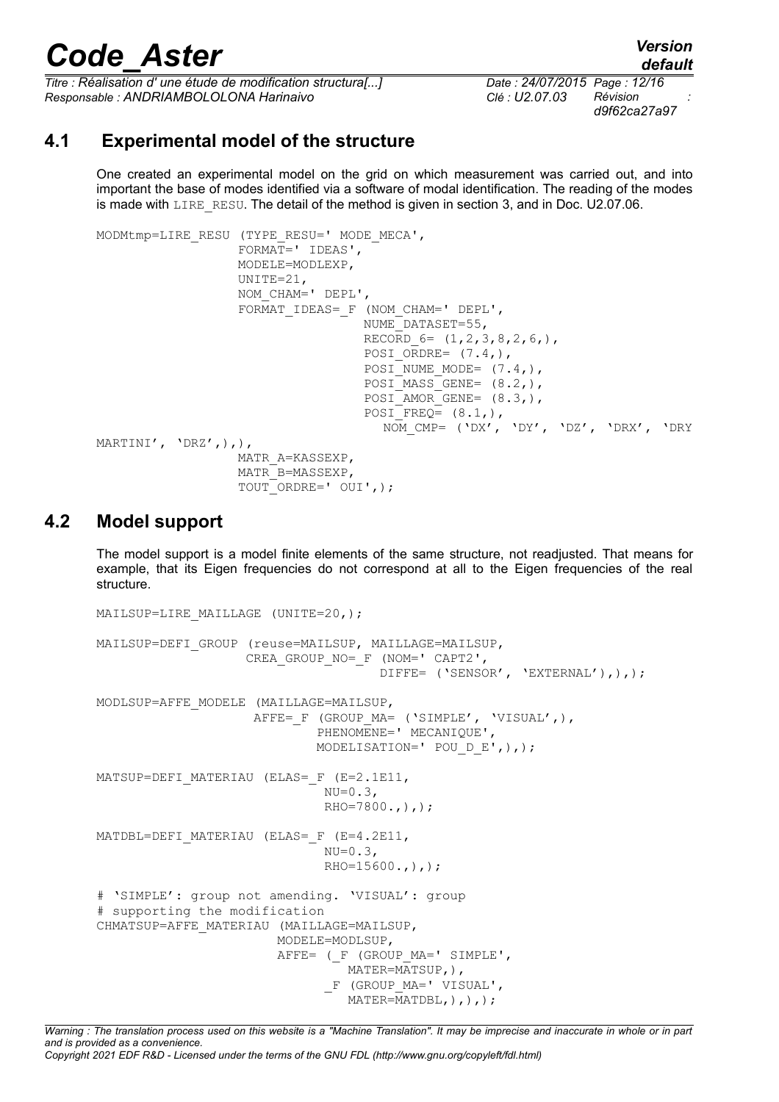*Titre : Réalisation d' une étude de modification structura[...] Date : 24/07/2015 Page : 12/16*<br>Responsable : ANDRIAMBOLOLONA Harinaivo **Clé : U2.07.03** Révision *Responsable : ANDRIAMBOLOLONA Harinaivo Clé : U2.07.03 Révision :*

*d9f62ca27a97*

#### **4.1 Experimental model of the structure**

<span id="page-11-0"></span>One created an experimental model on the grid on which measurement was carried out, and into important the base of modes identified via a software of modal identification. The reading of the modes is made with LIRE RESU. The detail of the method is given in section [3,](#page-5-0) and in Doc. U2.07.06.

```
MODMtmp=LIRE_RESU (TYPE_RESU=' MODE_MECA',
                    FORMAT=' IDEAS',
                    MODELE=MODLEXP,
                    UNITE=21,
                    NOM_CHAM=' DEPL',
                   FORMAT_IDEAS=_F (NOM_CHAM=' DEPL',
                                     NUME_DATASET=55,
                                    RECORD 6 = (1,2,3,8,2,6),
                                    POSI ORDRE= (7.4),
                                    POSI<sup>NUME</sup> MODE= (7.4,),
                                    POSTMASSGENE= (8.2,),POSI AMOR GENE= (8.3,),
                                    POSTFREQ= (8.1,), NOM_CMP= ('DX', 'DY', 'DZ', 'DRX', 'DRY
MARTINI', 'DRZ',),),
                    MATR_A=KASSEXP,
                    MATR_B=MASSEXP,
                    TOUT_ORDRE=' OUI',);
```
#### **4.2 Model support**

The model support is a model finite elements of the same structure, not readjusted. That means for example, that its Eigen frequencies do not correspond at all to the Eigen frequencies of the real structure.

```
MAILSUP=LIRE MAILLAGE (UNITE=20,);
MAILSUP=DEFI_GROUP (reuse=MAILSUP, MAILLAGE=MAILSUP,
                    CREA GROUP NO= F (NOM=' CAPT2',
                                      DIFFE= ('SENSOR', 'EXTERNAL'),),);
MODLSUP=AFFE_MODELE (MAILLAGE=MAILSUP,
                    AFFE= F (GROUP MA= ('SIMPLE', 'VISUAL',),
                             PHENOMENE=' MECANIQUE',
                              MODELISATION=' POU_D_E',),);
MATSUP=DEFI_MATERIAU (ELAS=_F (E=2.1E11,
                              NU=0.3,
                              RHO=7800., ),;
MATDBL=DEFI_MATERIAU (ELAS= F (E=4.2E11,
                              NU=0.3,
                              RHO=15600., ),;
# 'SIMPLE': group not amending. 'VISUAL': group
# supporting the modification
CHMATSUP=AFFE_MATERIAU (MAILLAGE=MAILSUP,
                         MODELE=MODLSUP,
                        AFFE= (F (GROUP MA=' SIMPLE',
                                 MATER=MATSUP, ),
                              F (GROUP MA=' VISUAL',
                                 MATER=\overline{M}ATDBL,),),);
```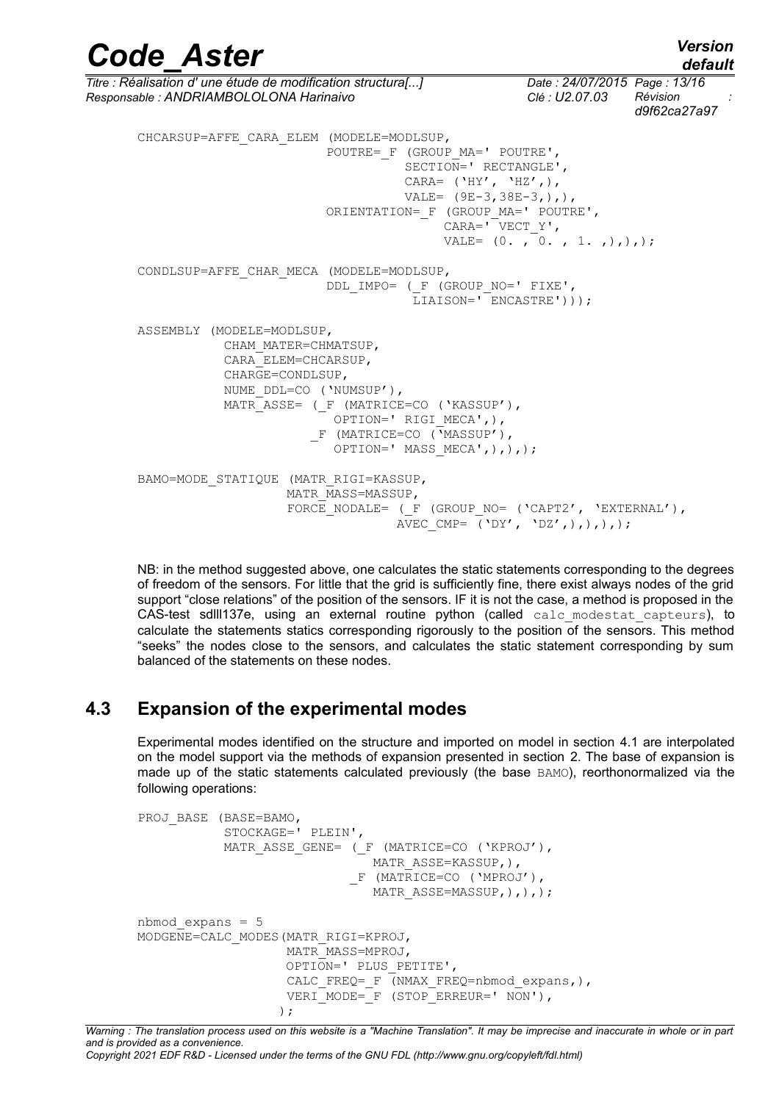*Code\_Aster Version default Titre : Réalisation d' une étude de modification structura[...] Date : 24/07/2015 Page : 13/16 Responsable : ANDRIAMBOLOLONA Harinaivo Clé : U2.07.03 Révision : d9f62ca27a97* CHCARSUP=AFFE\_CARA\_ELEM (MODELE=MODLSUP, POUTRE= F (GROUP MA=' POUTRE', SECTION=' RECTANGLE', CARA=  $('HY', 'HZ',')$ , VALE=  $(9E-3,38E-3,),$  ORIENTATION=\_F (GROUP\_MA=' POUTRE', CARA=' VECT Y', VALE=  $(0. , 0. , 1. , ),);$ CONDLSUP=AFFE\_CHAR\_MECA (MODELE=MODLSUP, DDL\_IMPO= (\_F (GROUP\_NO=' FIXE',  $LIAISON='$   $KINCASE['')$ ); ASSEMBLY (MODELE=MODLSUP, CHAM\_MATER=CHMATSUP, CARA\_ELEM=CHCARSUP, CHARGE=CONDLSUP, NUME DDL=CO ('NUMSUP'), MATR ASSE= ( F (MATRICE=CO ('KASSUP'), OPTION=' RIGI\_MECA',),  $F$  (MATRICE=CO ( $\bar{v}$ MASSUP'), OPTION=' MASS\_MECA',),),); BAMO=MODE\_STATIQUE (MATR\_RIGI=KASSUP, MATR\_MASS=MASSUP, FORCE NODALE= ( F (GROUP NO= ('CAPT2', 'EXTERNAL'), AVEC CMP=  $('DY', 'DZ',),),),$ 

NB: in the method suggested above, one calculates the static statements corresponding to the degrees of freedom of the sensors. For little that the grid is sufficiently fine, there exist always nodes of the grid support "close relations" of the position of the sensors. IF it is not the case, a method is proposed in the CAS-test sdlll137e, using an external routine python (called calc modestat capteurs), to calculate the statements statics corresponding rigorously to the position of the sensors. This method "seeks" the nodes close to the sensors, and calculates the static statement corresponding by sum balanced of the statements on these nodes.

#### **4.3 Expansion of the experimental modes**

Experimental modes identified on the structure and imported on model in section [4.1](#page-11-0) are interpolated on the model support via the methods of expansion presented in section [2.](#page-2-0) The base of expansion is made up of the static statements calculated previously (the base BAMO), reorthonormalized via the following operations:

```
PROJ_BASE (BASE=BAMO,
             STOCKAGE=' PLEIN',
            MATR ASSE GENE= ( F (MATRICE=CO ('KPROJ'),
                                MATR_ASSE=KASSUP,),
                               _F (MATRICE=CO ('MPROJ'),
                                MATR ASSE=MASSUP, ), ), ;
nbmod expans = 5MODGENE=CALC_MODES(MATR_RIGI=KPROJ,
                     MATR_MASS=MPROJ,
                     OPTION=' PLUS_PETITE',
                    CALC FREQ= F (NMAX FREQ=nbmod expans,),
                    VERI<sup>MODE=</sup>F (STOP<sup>ERREUR=' NON'),</sup>
) \mathbf{r}
```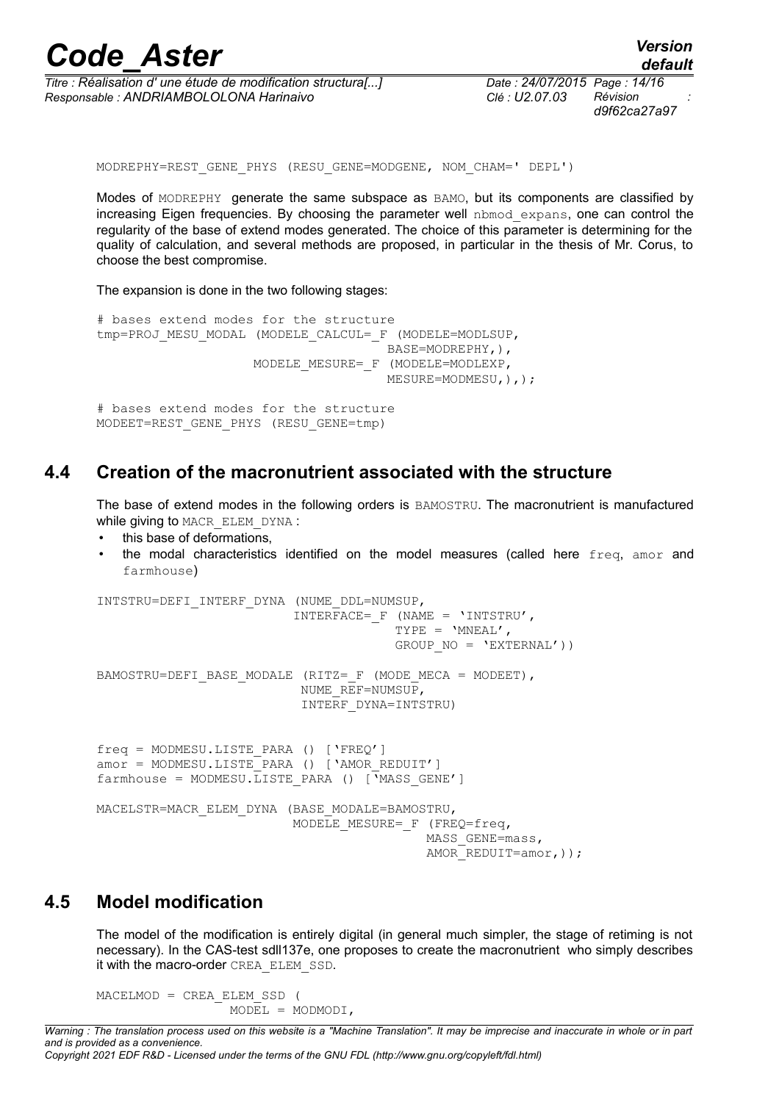| <b>Code Aster</b> | <b>Version</b> |
|-------------------|----------------|
|                   | default        |

*Titre : Réalisation d' une étude de modification structura[...] Date : 24/07/2015 Page : 14/16 Responsable : ANDRIAMBOLOLONA Harinaivo Clé : U2.07.03 Révision :*

*d9f62ca27a97*

MODREPHY=REST\_GENE\_PHYS (RESU\_GENE=MODGENE, NOM\_CHAM=' DEPL')

Modes of MODREPHY generate the same subspace as BAMO, but its components are classified by increasing Eigen frequencies. By choosing the parameter well nbmod expans, one can control the regularity of the base of extend modes generated. The choice of this parameter is determining for the quality of calculation, and several methods are proposed, in particular in the thesis of Mr. Corus, to choose the best compromise.

The expansion is done in the two following stages:

```
# bases extend modes for the structure
tmp=PROJ_MESU_MODAL (MODELE_CALCUL=_F (MODELE=MODLSUP,
                                      BASE=MODREPHY,),
                    MODELE MESURE= F (MODELE=MODLEXP,
                                     MESURE=MODMESU, ), );
# bases extend modes for the structure
MODEET=REST_GENE_PHYS (RESU_GENE=tmp)
```
#### **4.4 Creation of the macronutrient associated with the structure**

The base of extend modes in the following orders is BAMOSTRU. The macronutrient is manufactured while giving to MACR\_ELEM\_DYNA :

- this base of deformations,
- the modal characteristics identified on the model measures (called here  $freq$ , amor and farmhouse)

```
INTSTRU=DEFI_INTERF_DYNA (NUME_DDL=NUMSUP,
                          INTERFACE= F (NAME = 'INTSTRU',
                                        TYPE = 'MNEAL',
                                        GROUP NO = 'EXTERNAL'))
BAMOSTRU=DEFI_BASE_MODALE (RITZ= F (MODE MECA = MODEET),
                            NUME_REF=NUMSUP,
                            INTERF_DYNA=INTSTRU)
freq = MODMESU.LISTE_PARA () ['FREQ']
amor = MODMESU.LISTE PARA () ['AMOR REDUIT']
farmhouse = MODMESU.\overline{L}ISTE PARA () [YMASS GENE']MACELSTR=MACR_ELEM_DYNA (BASE_MODALE=BAMOSTRU,
                          MODELE MESURE= F (FREQ=freq,
                                             MASS_GENE=mass,
                                            AMOR REDUIT=amor, ) ) ;
```
#### **4.5 Model modification**

The model of the modification is entirely digital (in general much simpler, the stage of retiming is not necessary). In the CAS-test sdll137e, one proposes to create the macronutrient who simply describes it with the macro-order CREA\_ELEM\_SSD.

MACELMOD = CREA\_ELEM\_SSD ( MODEL = MODMODI,

*Copyright 2021 EDF R&D - Licensed under the terms of the GNU FDL (http://www.gnu.org/copyleft/fdl.html)*

*Warning : The translation process used on this website is a "Machine Translation". It may be imprecise and inaccurate in whole or in part and is provided as a convenience.*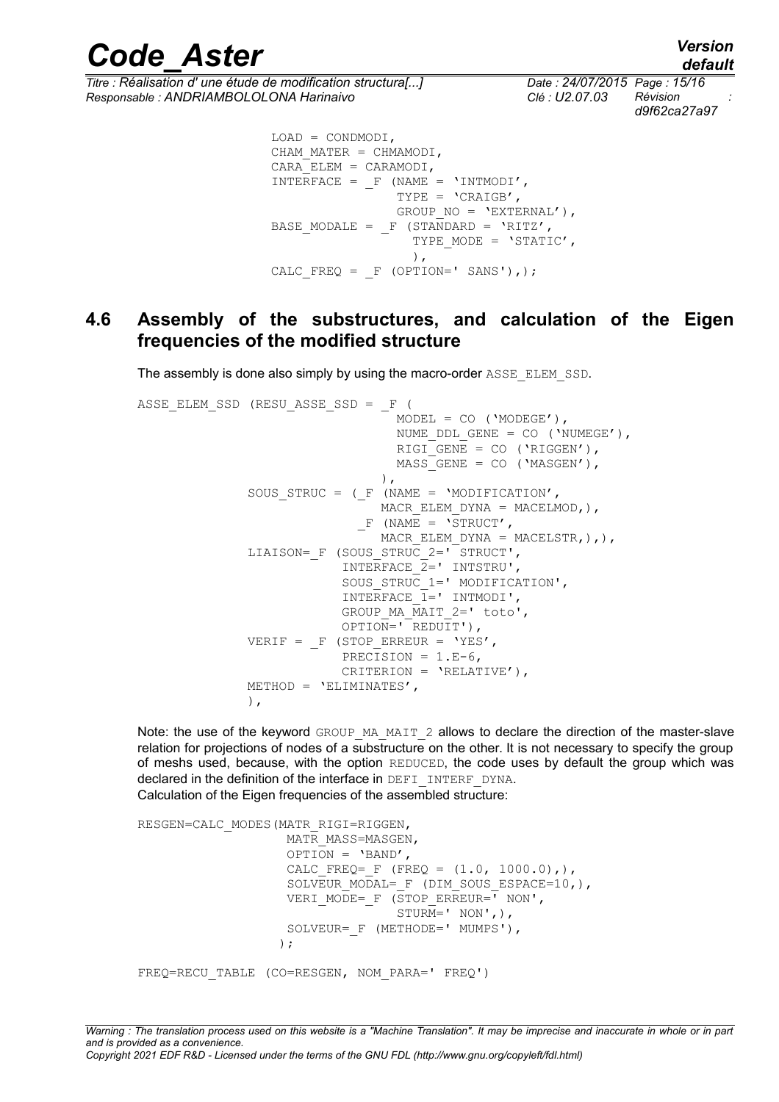*Code\_Aster Version default*

*Titre : Réalisation d' une étude de modification structura[...] Date : 24/07/2015 Page : 15/16*<br>Responsable : ANDRIAMBOLOLONA Harinaivo *Clé : U2.07.03* Révision *Responsable : ANDRIAMBOLOLONA Harinaivo Clé : U2.07.03 Révision :*

*d9f62ca27a97*

```
 LOAD = CONDMODI,
                 CHAM MATER = CHMAMODI,
                 CARAELEM = CARAMODI,
                 INTERFACE = F (NAME = 'INTMODI', TYPE = 'CRAIGB',
                                  GROUP NO = 'EXTERNAL'),
                 BASE MODALE = F (STANDARD = 'RITZ',
                                    TYPE MODE = 'STATIC',
\left( \begin{array}{c} 1 \end{array} \right),
                 CALC FREQ = F (OPTION=' SANS'),);
```
#### **4.6 Assembly of the substructures, and calculation of the Eigen frequencies of the modified structure**

The assembly is done also simply by using the macro-order ASSE\_ELEM\_SSD.

```
ASSE ELEM SSD (RESU ASSE SSD = F (
                                   MODEL = CO ('MODEGE'),NUME DDL GENE = CO ('NUMEGE'),
                                   RIGI GENE = CO ('RIGGEN'),
                                   MASS GENE = CO ('MASGEN'),
\left( \begin{array}{c} 0 \\ 0 \end{array} \right),
               SOUS STRUC = (F (NAME = 'MODIFICATION',
                                MACR ELEM DYNA = MACELMOD, ),F (NAME = \sqrt{STRUCT},
                               MACR ELEM DYNA = MACELSTR, ),LIAISON= F (SOUS STRUC 2=' STRUCT',
                            INTERFACE 2=' INTSTRU',
                            SOUS STRUC 1=' MODIFICATION',
                            INTERFACE \overline{1}=' INTMODI',
                            GROUP MA MAIT 2=' toto',
                            OPTION = 'REDUIT'),
               VERIF = F (STOP ERREUR = 'YES',
                            PRECISION = 1.E-6,
                             CRITERION = 'RELATIVE'),
               METHOD = 'ELIMINATES',
                ),
```
Note: the use of the keyword GROUP MA\_MAIT\_2 allows to declare the direction of the master-slave relation for projections of nodes of a substructure on the other. It is not necessary to specify the group of meshs used, because, with the option REDUCED, the code uses by default the group which was declared in the definition of the interface in DEFI\_INTERF\_DYNA. Calculation of the Eigen frequencies of the assembled structure:

```
RESGEN=CALC_MODES(MATR_RIGI=RIGGEN,
                  MATR_MASS=MASGEN,
                   OPTION = 'BAND',
                  CALC FREQ= F (FREQ = (1.0, 1000.0),)
                  SOLVEUR MODAL= F (DIM SOUS ESPACE=10,),
                  VERI MODE= F (STOP ERREUR=" NON',
                                STURM = ' NON', ),
                  SOLVEUR= F (METHODE=' MUMPS'),
) ;
FREQ=RECU_TABLE (CO=RESGEN, NOM_PARA=' FREQ')
```